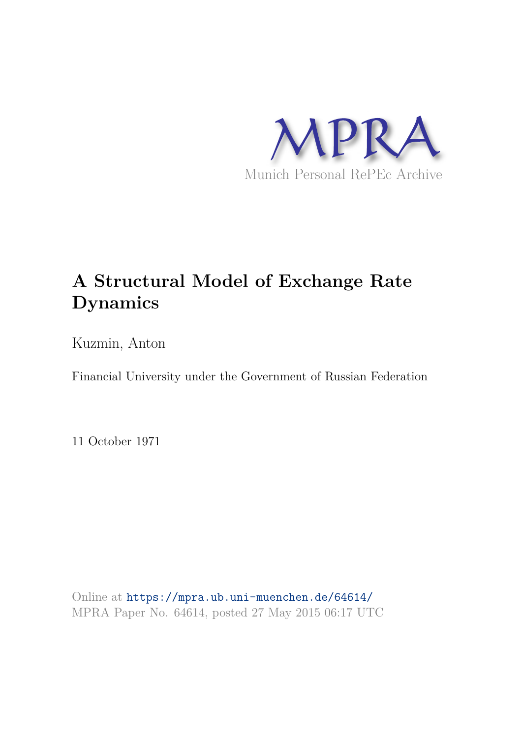

## **A Structural Model of Exchange Rate Dynamics**

Kuzmin, Anton

Financial University under the Government of Russian Federation

11 October 1971

Online at https://mpra.ub.uni-muenchen.de/64614/ MPRA Paper No. 64614, posted 27 May 2015 06:17 UTC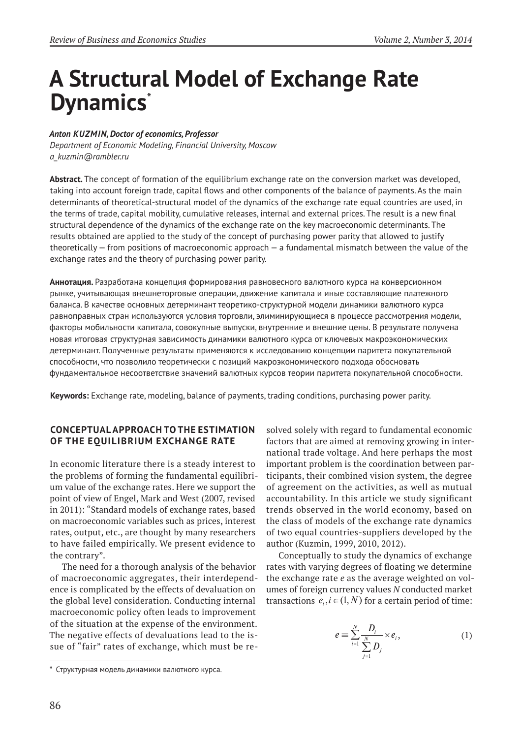# **A Structural Model of Exchange Rate Dynamics**\*

#### *Anton kuzmin, Doctor of economics, Professor*

*Department of Economic Modeling, Financial University, Moscow a\_kuzmin@rambler.ru*

**Abstract***.* The concept of formation of the equilibrium exchange rate on the conversion market was developed, taking into account foreign trade, capital flows and other components of the balance of payments. As the main determinants of theoretical-structural model of the dynamics of the exchange rate equal countries are used, in the terms of trade, capital mobility, cumulative releases, internal and external prices. The result is a new final structural dependence of the dynamics of the exchange rate on the key macroeconomic determinants. The results obtained are applied to the study of the concept of purchasing power parity that allowed to justify theoretically — from positions of macroeconomic approach — a fundamental mismatch between the value of the exchange rates and the theory of purchasing power parity.

**Аннотация.** Разработана концепция формирования равновесного валютного курса на конверсионном рынке, учитывающая внешнеторговые операции, движение капитала и иные составляющие платежного баланса. В качестве основных детерминант теоретико-структурной модели динамики валютного курса равноправных стран используются условия торговли, элиминирующиеся в процессе рассмотрения модели, факторы мобильности капитала, совокупные выпуски, внутренние и внешние цены. В результате получена новая итоговая структурная зависимость динамики валютного курса от ключевых макроэкономических детерминант. Полученные результаты применяются к исследованию концепции паритета покупательной способности, что позволило теоретически с позиций макроэкономического подхода обосновать фундаментальное несоответствие значений валютных курсов теории паритета покупательной способности.

**Keywords:** Exchange rate, modeling, balance of payments, trading conditions, purchasing power parity.

#### **CONCEPTuAl APPrOACh TO ThE ESTIMATION OF ThE EquIlIBrIuM ExChANGE rATE**

In economic literature there is a steady interest to the problems of forming the fundamental equilibrium value of the exchange rates. Here we support the point of view of Engel, Mark and West (2007, revised in 2011): "Standard models of exchange rates, based on macroeconomic variables such as prices, interest rates, output, etc., are thought by many researchers to have failed empirically. We present evidence to the contrary".

The need for a thorough analysis of the behavior of macroeconomic aggregates, their interdependence is complicated by the effects of devaluation on the global level consideration. Conducting internal macroeconomic policy often leads to improvement of the situation at the expense of the environment. The negative effects of devaluations lead to the issue of "fair" rates of exchange, which must be resolved solely with regard to fundamental economic factors that are aimed at removing growing in international trade voltage. And here perhaps the most important problem is the coordination between participants, their combined vision system, the degree of agreement on the activities, as well as mutual accountability. In this article we study significant trends observed in the world economy, based on the class of models of the exchange rate dynamics of two equal countries-suppliers developed by the author (Kuzmin, 1999, 2010, 2012).

Conceptually to study the dynamics of exchange rates with varying degrees of floating we determine the exchange rate *e* as the average weighted on volumes of foreign currency values *N* conducted market transactions  $e_i, i \in (1, N)$  for a certain period of time:

$$
e \equiv \sum_{i=1}^{N} \frac{D_i}{\sum_{j=1}^{N} D_j} \times e_i, \qquad (1)
$$

<sup>\*</sup> Структурная модель динамики валютного курса.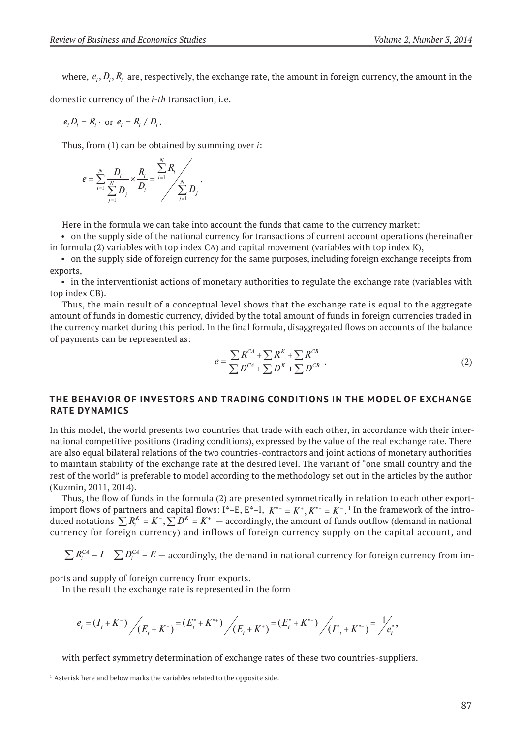where,  $e_i$ ,  $D_i$ ,  $R_i$  are, respectively, the exchange rate, the amount in foreign currency, the amount in the

domestic currency of the *i-th* transaction, i. e.

$$
e_i D_i = R_i \cdot \text{ or } e_i = R_i / D_i.
$$

Thus, from (1) can be obtained by summing over *i*:

$$
e = \sum_{i=1}^{N} \frac{D_i}{\sum_{j=1}^{N} D_j} \times \frac{R_i}{D_i} = \sum_{i=1}^{N} \frac{R_i}{\sum_{j=1}^{N} D_j}.
$$

Here in the formula we can take into account the funds that came to the currency market:

• on the supply side of the national currency for transactions of current account operations (hereinafter in formula (2) variables with top index CA) and capital movement (variables with top index К),

• on the supply side of foreign currency for the same purposes, including foreign exchange receipts from exports,

• in the interventionist actions of monetary authorities to regulate the exchange rate (variables with top index СВ).

Thus, the main result of a conceptual level shows that the exchange rate is equal to the aggregate amount of funds in domestic currency, divided by the total amount of funds in foreign currencies traded in the currency market during this period. In the final formula, disaggregated flows on accounts of the balance of payments can be represented as:

$$
e = \frac{\sum R^{CA} + \sum R^{K} + \sum R^{CB}}{\sum D^{CA} + \sum D^{K} + \sum D^{CB}}.
$$
 (2)

#### **ThE BEhAvIOr OF INvESTOrS AND TrADING CONDITIONS IN ThE MODEl OF ExChANGE rATE DyNAMICS**

In this model, the world presents two countries that trade with each other, in accordance with their international competitive positions (trading conditions), expressed by the value of the real exchange rate. There are also equal bilateral relations of the two countries-contractors and joint actions of monetary authorities to maintain stability of the exchange rate at the desired level. The variant of "one small country and the rest of the world" is preferable to model according to the methodology set out in the articles by the author (Kuzmin, 2011, 2014).

Thus, the flow of funds in the formula (2) are presented symmetrically in relation to each other exportimport flows of partners and capital flows:  $I^* = E$ ,  $E^* = I$ ,  $K^{*-} = K^*$ ,  $K^{*+} = K^-$ . In the framework of the introduced notations  $\sum R_i^K = K^-$ ,  $\sum D^K = K^+$  – accordingly, the amount of funds outflow (demand in national currency for foreign currency) and inflows of foreign currency supply on the capital account, and

 $\sum R_i^{C_A} = I$   $\sum D_i^{C_A} = E$   $-$  accordingly, the demand in national currency for foreign currency from im-

ports and supply of foreign currency from exports.

In the result the exchange rate is represented in the form

$$
e_{t} = (I_{t} + K^{-}) \Bigg/ (E_{t} + K^{+}) = (E_{t}^{*} + K^{*}) \Bigg/ (E_{t} + K^{+}) = (E_{t}^{*} + K^{*}) \Bigg/ (I_{t}^{*} + K^{*}) = \Bigg/ e_{t}^{*},
$$

with perfect symmetry determination of exchange rates of these two countries-suppliers.

<sup>&</sup>lt;sup>1</sup> Asterisk here and below marks the variables related to the opposite side.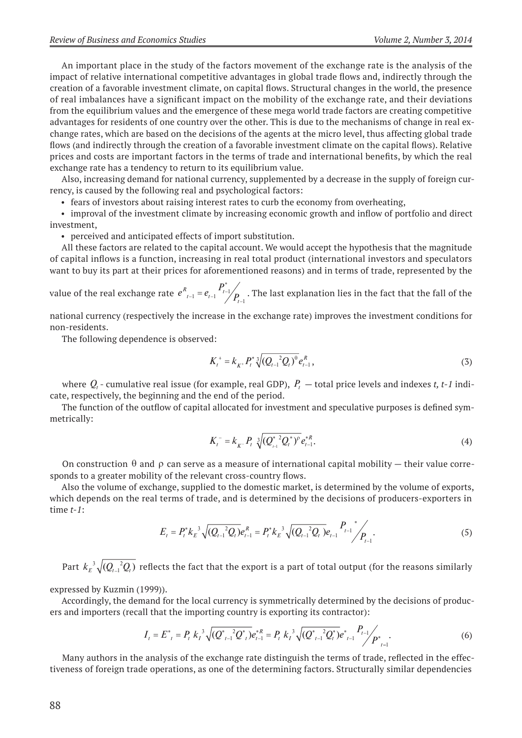An important place in the study of the factors movement of the exchange rate is the analysis of the impact of relative international competitive advantages in global trade flows and, indirectly through the creation of a favorable investment climate, on capital flows. Structural changes in the world, the presence of real imbalances have a significant impact on the mobility of the exchange rate, and their deviations from the equilibrium values and the emergence of these mega world trade factors are creating competitive advantages for residents of one country over the other. This is due to the mechanisms of change in real exchange rates, which are based on the decisions of the agents at the micro level, thus affecting global trade flows (and indirectly through the creation of a favorable investment climate on the capital flows). Relative prices and costs are important factors in the terms of trade and international benefits, by which the real exchange rate has a tendency to return to its equilibrium value.

Also, increasing demand for national currency, supplemented by a decrease in the supply of foreign currency, is caused by the following real and psychological factors:

• fears of investors about raising interest rates to curb the economy from overheating,

• improval of the investment climate by increasing economic growth and inflow of portfolio and direct investment,

• perceived and anticipated effects of import substitution.

All these factors are related to the capital account. We would accept the hypothesis that the magnitude of capital inflows is a function, increasing in real total product (international investors and speculators want to buy its part at their prices for aforementioned reasons) and in terms of trade, represented by the

value of the real exchange rate  $e_{i-1}^R = e_{i-1}^R$  $P_{t-1} = e_{t-1} \frac{P_{t-1}}{P_{t-1}}$  $t_{t-1} = e_{t-1} \frac{I_{t-1}}{I}$  $e_{t-1} = e_{t-1} \frac{I_{t-1}}{I_{t-1}}$ 1 \* . The last explanation lies in the fact that the fall of the

national currency (respectively the increase in the exchange rate) improves the investment conditions for non-residents.

The following dependence is observed:

$$
K_t^+ = k_{K^+} P_t^* \sqrt[3]{(Q_{t-1}^2 Q_t)^0} e_{t-1}^R,
$$
\n(3)

where  $Q_{\iota}$  - cumulative real issue (for example, real GDP),  $\,P_{\iota} \,$   $-$  total price levels and indexes  $t$ ,  $t$  -  $1$  indicate, respectively, the beginning and the end of the period.

The function of the outflow of capital allocated for investment and speculative purposes is defined symmetrically:

$$
K_t^- = k_{K^-} P_t \sqrt[3]{(Q_{t-1}^{*2} Q_t^*)^p} e_{t-1}^{*R}.
$$
 (4)

On construction  $\theta$  and  $\rho$  can serve as a measure of international capital mobility – their value corresponds to a greater mobility of the relevant cross-country flows.

Also the volume of exchange, supplied to the domestic market, is determined by the volume of exports, which depends on the real terms of trade, and is determined by the decisions of producers-exporters in time *t-1*:

$$
E_t = P_t^* k_B^{-3} \sqrt{(Q_{t-1}^2 Q_t)} e_{t-1}^R = P_t^* k_B^{-3} \sqrt{(Q_{t-1}^2 Q_t)} e_{t-1} P_{t-1}^{-1} P_{t-1}.
$$
 (5)

Part  $k_E^{-3} \sqrt{(Q_{t-1}^{-2}Q_t)}$  reflects the fact that the export is a part of total output (for the reasons similarly

expressed by Kuzmin (1999)).

Accordingly, the demand for the local currency is symmetrically determined by the decisions of producers and importers (recall that the importing country is exporting its contractor):

$$
I_{t} = E_{t}^{*} = P_{t} k_{t}^{3} \sqrt{(Q_{t-1}^{*} Q_{t}^{*})} e_{t-1}^{* R} = P_{t} k_{t}^{3} \sqrt{(Q_{t-1}^{*} Q_{t}^{*})} e_{t-1}^{*} P_{t-1}^{*} / P_{t-1}^{*}.
$$
\n
$$
(6)
$$

Many authors in the analysis of the exchange rate distinguish the terms of trade, reflected in the effectiveness of foreign trade operations, as one of the determining factors. Structurally similar dependencies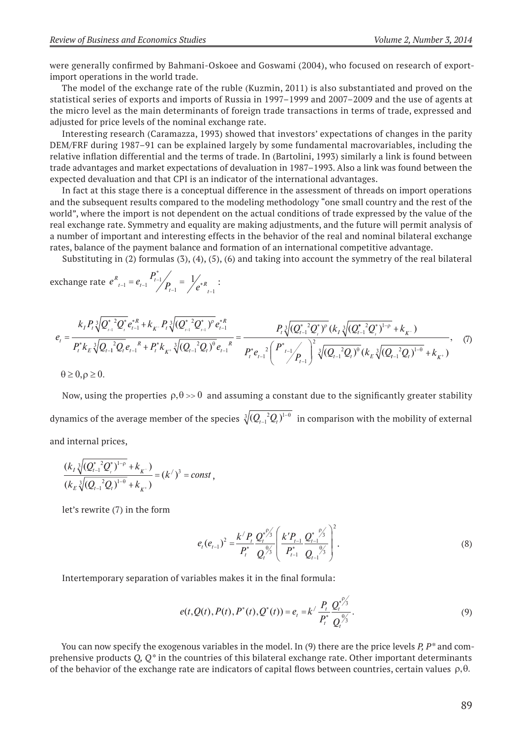were generally confirmed by Bahmani-Oskoee and Goswami (2004), who focused on research of exportimport operations in the world trade.

The model of the exchange rate of the ruble (Kuzmin, 2011) is also substantiated and proved on the statistical series of exports and imports of Russia in 1997–1999 and 2007–2009 and the use of agents at the micro level as the main determinants of foreign trade transactions in terms of trade, expressed and adjusted for price levels of the nominal exchange rate.

Interesting research (Caramazza, 1993) showed that investors' expectations of changes in the parity DEM/FRF during 1987–91 can be explained largely by some fundamental macrovariables, including the relative inflation differential and the terms of trade. In (Bartolini, 1993) similarly a link is found between trade advantages and market expectations of devaluation in 1987–1993. Also a link was found between the expected devaluation and that CPI is an indicator of the international advantages.

In fact at this stage there is a conceptual difference in the assessment of threads on import operations and the subsequent results compared to the modeling methodology "one small country and the rest of the world", where the import is not dependent on the actual conditions of trade expressed by the value of the real exchange rate. Symmetry and equality are making adjustments, and the future will permit analysis of a number of important and interesting effects in the behavior of the real and nominal bilateral exchange rates, balance of the payment balance and formation of an international competitive advantage.

Substituting in (2) formulas (3), (4), (5), (6) and taking into account the symmetry of the real bilateral

exchange rate 
$$
e_{t-1}^{R} = e_{t-1} \frac{P_{t-1}^{*}}{P_{t-1}} = \frac{1}{e_{t}^{*R} + 1}
$$
:

$$
e_{t} = \frac{k_{I} P_{t} \sqrt[3]{Q_{t-1}^{*2} Q_{t}^{*}} e_{t-1}^{* R} + k_{K} P_{t} \sqrt[3]{(Q_{t-1}^{*2} Q_{t-1}^{*})^{2}} e_{t-1}^{* R}}{P_{t}^{*} k_{E} \sqrt[3]{Q_{t-1}^{*2} Q_{t}^{*}} e_{t-1}^{* R} + P_{t}^{*} k_{K} \sqrt[3]{(Q_{t-1}^{*2} Q_{t})^{2}} e_{t-1}^{* R}} = \frac{P_{t} \sqrt[3]{(Q_{t-1}^{*2} Q_{t}^{*})^{2}} (k_{I} \sqrt[3]{(Q_{t-1}^{*2} Q_{t})^{1-p}} + k_{K} )}{P_{t}^{*} e_{t-1}^{*2} (P_{t-1}^{*2} Q_{t})^{*}} (k_{E} \sqrt[3]{(Q_{t-1}^{*2} Q_{t})^{1-p}} + k_{K} )}, \quad (7)
$$
  
\n
$$
\theta \ge 0, \rho \ge 0.
$$

Now, using the properties  $\rho, \theta \gg 0$  and assuming a constant due to the significantly greater stability dynamics of the average member of the species  $\sqrt[3]{(Q_{_{\! f\! -\! 1}}^{\!\!-2} \!Q_{_{\! f}}^{\!\!})^{\! 1}}$  $\sqrt[3]{(Q_{t-1}^2Q_t)}^{1-\theta}$  in comparison with the mobility of external and internal prices,

$$
\frac{(k_{I}\sqrt[3]{(Q_{I-1}^*Q_{I})^{1-\rho}}+k_{K^-})}{(k_{E}\sqrt[3]{(Q_{I-1}^2Q_{I})^{1-\theta}}+k_{K^+})}=(k')^3=const,
$$

let's rewrite (7) in the form

$$
e_{t}(e_{t-1})^{2} = \frac{k' P_{t}}{P_{t}^{*}} \frac{Q_{t}^{*} \frac{\rho_{3}^{*}}{Q_{t}^{*}} \left( \frac{k' P_{t-1}}{P_{t-1}^{*}} \frac{Q_{t-1}^{*} \frac{\rho_{3}^{*}}{Q_{t-1}^{*}} \right)^{2}}{Q_{t-1}^{*} Q_{t-1}^{*}}.
$$
\n(8)

Intertemporary separation of variables makes it in the final formula:

$$
e(t, Q(t), P(t), P^*(t), Q^*(t)) = e_t = k' \frac{P_t}{P_t^*} \frac{Q_t^{*/2}}{Q_t^{*/3}}.
$$
\n(9)

You can now specify the exogenous variables in the model. In (9) there are the price levels *P, P\** and comprehensive products *Q, Q\** in the countries of this bilateral exchange rate. Other important determinants of the behavior of the exchange rate are indicators of capital flows between countries, certain values  $\rho, \theta$ .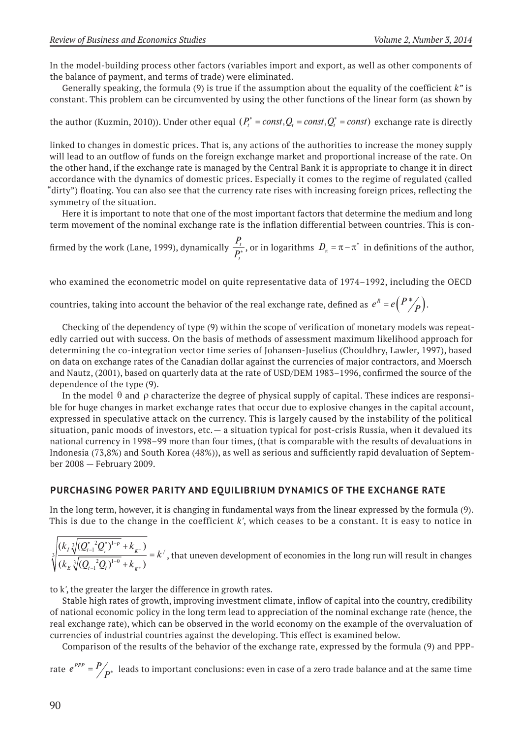In the model-building process other factors (variables import and export, as well as other components of the balance of payment, and terms of trade) were eliminated.

Generally speaking, the formula (9) is true if the assumption about the equality of the coefficient *k"* is constant. This problem can be circumvented by using the other functions of the linear form (as shown by

the author (Kuzmin, 2010)). Under other equal  $(P_t^* = const, Q_t = const, Q_t^* = const)$  exchange rate is directly

linked to changes in domestic prices. That is, any actions of the authorities to increase the money supply will lead to an outflow of funds on the foreign exchange market and proportional increase of the rate. On the other hand, if the exchange rate is managed by the Central Bank it is appropriate to change it in direct accordance with the dynamics of domestic prices. Especially it comes to the regime of regulated (called "dirty") floating. You can also see that the currency rate rises with increasing foreign prices, reflecting the symmetry of the situation.

Here it is important to note that one of the most important factors that determine the medium and long term movement of the nominal exchange rate is the inflation differential between countries. This is con-

firmed by the work (Lane, 1999), dynamically  $\frac{P}{P}$ *P t*  $\frac{t}{\sigma^*}$ , or in logarithms  $D_\pi = \pi - \pi^*$  in definitions of the author,

who examined the econometric model on quite representative data of 1974–1992, including the OECD

countries, taking into account the behavior of the real exchange rate, defined as  $e^{R} = e\left(\frac{P^*}{P}\right)$ .

Checking of the dependency of type (9) within the scope of verification of monetary models was repeatedly carried out with success. On the basis of methods of assessment maximum likelihood approach for determining the co-integration vector time series of Johansen-Juselius (Chouldhry, Lawler, 1997), based on data on exchange rates of the Canadian dollar against the currencies of major contractors, and Moersch and Nautz, (2001), based on quarterly data at the rate of USD/DEM 1983–1996, confirmed the source of the dependence of the type (9).

In the model  $\theta$  and  $\rho$  characterize the degree of physical supply of capital. These indices are responsible for huge changes in market exchange rates that occur due to explosive changes in the capital account, expressed in speculative attack on the currency. This is largely caused by the instability of the political situation, panic moods of investors, etc. — a situation typical for post-crisis Russia, when it devalued its national currency in 1998–99 more than four times, (that is comparable with the results of devaluations in Indonesia (73,8%) and South Korea (48%)), as well as serious and sufficiently rapid devaluation of September 2008 — February 2009.

#### **PurChASING POwEr PArITy AND EquIlIBrIuM DyNAMICS OF ThE ExChANGE rATE**

In the long term, however, it is changing in fundamental ways from the linear expressed by the formula (9). This is due to the change in the coefficient *k'*, which ceases to be a constant. It is easy to notice in

 $(k_1 \sqrt[3]{(Q_{t-1}^* Q^*)^{1-\rho}} + k_{\nu-})$  $(k_{\rm F} \sqrt[3]{(Q_{t-1}^2 Q_t)}^{\perp \theta}$  +  $k_{\nu+}$ )  $k_{I} \sqrt[3]{(Q_{t-1}^* Q_t^*)^{1-\rho} + k_{K^-})}$  $k_{F} \sqrt[3]{(Q_{t-1}^{-2}Q_{t})^{1-\theta}} + k$  $\frac{I\sqrt{Q_{t-1}Q_{t}}}{\sqrt{Q_{t-1}Q_{t}}} = k$  $E \bigvee \bigvee_{t-1} \bigvee_{t} I$  $_{t-1}^{*}2Q_{_t}^{*})^{1-}$  $_{-1}^{2}Q_{t})^{1-}$  $\ddot{}$  $\ddot{}$  $\frac{1}{2}$  =  $\ddot{\phantom{1}}$  $3 \big/ (Q_{t-1}^*{}^2 Q_{_t}^*)^1$  $\sqrt[3]{\frac{1}{(k_{E} \sqrt[3]{(Q_{t-1}^{-2}Q_t)})^1}}$ 'n  $\frac{1}{\sqrt{1+\frac{1}{x}}}=k'$ , that uneven development of economies in the long run will result in changes

to k*'*, the greater the larger the difference in growth rates.

Stable high rates of growth, improving investment climate, inflow of capital into the country, credibility of national economic policy in the long term lead to appreciation of the nominal exchange rate (hence, the real exchange rate), which can be observed in the world economy on the example of the overvaluation of currencies of industrial countries against the developing. This effect is examined below.

Comparison of the results of the behavior of the exchange rate, expressed by the formula (9) and PPP-

rate  $e^{PPP} = P/_{P^*}$  leads to important conclusions: even in case of a zero trade balance and at the same time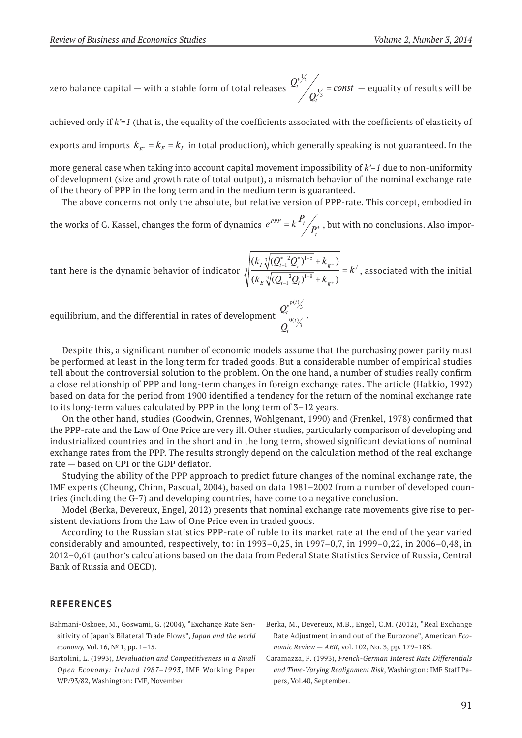zero balance capital — with a stable form of total releases *<sup>Q</sup> Q*  $\alpha^t$  /  $\alpha^t$  = const *t*  $\left( \frac{1}{t} \right)$   $\left( \frac{1}{t} \right)$  =  $\frac{1}{3}$  $\frac{1}{3}$  = const — equality of results will be

achieved only if *k'=1* (that is, the equality of the coefficients associated with the coefficients of elasticity of exports and imports  $k_{E^*} = k_E = k_I$  in total production), which generally speaking is not guaranteed. In the

more general case when taking into account capital movement impossibility of *k'=1* due to non-uniformity of development (size and growth rate of total output), a mismatch behavior of the nominal exchange rate of the theory of PPP in the long term and in the medium term is guaranteed.

The above concerns not only the absolute, but relative version of PPP-rate. This concept, embodied in

the works of G. Kassel, changes the form of dynamics  $e^{PPP} = k \frac{P_t}{P_t}$  $PPP = k \cdot r_i$ *t*  $= k \frac{P_t}{n^*}$ , but with no conclusions. Also impor-

tant here is the dynamic behavior of indicator  $(k_1 \sqrt[3]{(Q_{t-1}^* Q^*)^{1-\rho}} + k_{v-})$  $(k_{\rm F} \sqrt[3]{(Q_{t-1}^2 Q_t)}^{\perp \theta} + k_{\nu^+})$  $k_{I} \sqrt[3]{(Q_{t-1}^* Q_t^*)^{1-\rho} + k_{K^-})}$  $k_{F} \sqrt[3]{(Q_{t-1}^{-2}Q_{t})^{1-\theta}} + k$  $\frac{d}{dx} \sqrt{R(x+1)R(x+1)} = k$  $E \bigvee \bigvee_{t-1} \bigvee_{t} I$  $_{t-1}^{*}2Q_{_{t}}^{*})^{1-}$  $_{-1}^{2}Q_{t})^{1-}$  $\ddot{}$  $\ddot{}$  $\frac{1}{2}$  = t  $3 (Q_{t-1}^*{}^2 Q_{_t}^*)^1$  $\sqrt[3]{\frac{1}{(k_{E} \sqrt[3]{(Q_{t-1}^{-2}Q_t)})^1}}$  $-\rho$  $\frac{1}{\sqrt{\theta}}$  =  $k'$ , associated with the initial

*t*

 $(t)$ 

equilibrium, and the differential in rates of development  $\overline{\mathcal{Q}}$ *Q t t t*  $*^{\rho}$  $\theta$  $\frac{1}{(t)}$ . 3

Despite this, a significant number of economic models assume that the purchasing power parity must be performed at least in the long term for traded goods. But a considerable number of empirical studies tell about the controversial solution to the problem. On the one hand, a number of studies really confirm a close relationship of PPP and long-term changes in foreign exchange rates. The article (Hakkio, 1992) based on data for the period from 1900 identified a tendency for the return of the nominal exchange rate to its long-term values calculated by PPP in the long term of 3–12 years.

On the other hand, studies (Goodwin, Grennes, Wohlgenant, 1990) and (Frenkel, 1978) confirmed that the PPP-rate and the Law of One Price are very ill. Other studies, particularly comparison of developing and industrialized countries and in the short and in the long term, showed significant deviations of nominal exchange rates from the PPP. The results strongly depend on the calculation method of the real exchange rate — based on CPI or the GDP deflator.

Studying the ability of the PPP approach to predict future changes of the nominal exchange rate, the IMF experts (Cheung, Chinn, Pascual, 2004), based on data 1981–2002 from a number of developed countries (including the G-7) and developing countries, have come to a negative conclusion.

Model (Berka, Devereux, Engel, 2012) presents that nominal exchange rate movements give rise to persistent deviations from the Law of One Price even in traded goods.

According to the Russian statistics PPP-rate of ruble to its market rate at the end of the year varied considerably and amounted, respectively, to: in 1993–0,25, in 1997–0,7, in 1999–0,22, in 2006–0,48, in 2012–0,61 (author's calculations based on the data from Federal State Statistics Service of Russia, Central Bank of Russia and OECD).

#### **rEFErENCES**

- Bahmani-Oskoee, М., Goswami, G. (2004), "Exchange Rate Sensitivity of Japan's Bilateral Trade Flows", *Japan and the world economy,* Vol. 16, № 1, pp. 1–15.
- Bartolini, L. (1993), *Devaluation and Competitiveness in a Small Open Economy: Ireland 1987–1993*, IMF Working Paper WP/93/82, Washington: IMF, November.
- Berka, M., Devereux, M.B., Engel, C.M. (2012), "Real Exchange Rate Adjustment in and out of the Eurozone", American *Economic Review — AER*, vol. 102, No. 3, pp. 179–185.
- Caramazza, F. (1993), *French-German Interest Rate Differentials and Time-Varying Realignment Risk*, Washington: IMF Staff Papers, Vol.40, September.